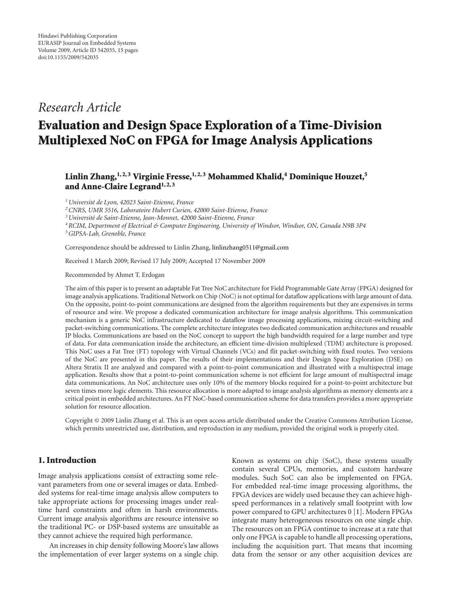## *Research Article*

# **Evaluation and Design Space Exploration of a Time-Division Multiplexed NoC on FPGA for Image Analysis Applications**

**Linlin Zhang,**<sup>1, 2, 3</sup> **Virginie Fresse,**<sup>1, 2, 3</sup> **Mohammed Khalid**,<sup>4</sup> **Dominique Houzet**,<sup>5</sup> and Anne-Claire Legrand<sup>1, 2, 3</sup>

*1Universit´e de Lyon, 42023 Saint-Etienne, France*

*2CNRS, UMR 5516, Laboratoire Hubert Curien, 42000 Saint-Etienne, France*

*3Universit´e de Saint-Etienne, Jean-Monnet, 42000 Saint-Etienne, France*

*4RCIM, Department of Electrical & Computer Engineering, University of Windsor, Windsor, ON, Canada N9B 3P4*

*5GIPSA-Lab, Grenoble, France*

Correspondence should be addressed to Linlin Zhang, linlinzhang0511@gmail.com

Received 1 March 2009; Revised 17 July 2009; Accepted 17 November 2009

Recommended by Ahmet T. Erdogan

The aim of this paper is to present an adaptable Fat Tree NoC architecture for Field Programmable Gate Array (FPGA) designed for image analysis applications. Traditional Network on Chip (NoC) is not optimal for dataflow applications with large amount of data. On the opposite, point-to-point communications are designed from the algorithm requirements but they are expensives in terms of resource and wire. We propose a dedicated communication architecture for image analysis algorithms. This communication mechanism is a generic NoC infrastructure dedicated to dataflow image processing applications, mixing circuit-switching and packet-switching communications. The complete architecture integrates two dedicated communication architectures and reusable IP blocks. Communications are based on the NoC concept to support the high bandwidth required for a large number and type of data. For data communication inside the architecture, an efficient time-division multiplexed (TDM) architecture is proposed. This NoC uses a Fat Tree (FT) topology with Virtual Channels (VCs) and flit packet-switching with fixed routes. Two versions of the NoC are presented in this paper. The results of their implementations and their Design Space Exploration (DSE) on Altera Stratix II are analyzed and compared with a point-to-point communication and illustrated with a multispectral image application. Results show that a point-to-point communication scheme is not efficient for large amount of multispectral image data communications. An NoC architecture uses only 10% of the memory blocks required for a point-to-point architecture but seven times more logic elements. This resource allocation is more adapted to image analysis algorithms as memory elements are a critical point in embedded architectures. An FT NoC-based communication scheme for data transfers provides a more appropriate solution for resource allocation.

Copyright © 2009 Linlin Zhang et al. This is an open access article distributed under the Creative Commons Attribution License, which permits unrestricted use, distribution, and reproduction in any medium, provided the original work is properly cited.

## **1. Introduction**

Image analysis applications consist of extracting some relevant parameters from one or several images or data. Embedded systems for real-time image analysis allow computers to take appropriate actions for processing images under realtime hard constraints and often in harsh environments. Current image analysis algorithms are resource intensive so the traditional PC- or DSP-based systems are unsuitable as they cannot achieve the required high performance.

An increases in chip density following Moore's law allows the implementation of ever larger systems on a single chip.

Known as systems on chip (SoC), these systems usually contain several CPUs, memories, and custom hardware modules. Such SoC can also be implemented on FPGA. For embedded real-time image processing algorithms, the FPGA devices are widely used because they can achieve highspeed performances in a relatively small footprint with low power compared to GPU architectures 0 [1]. Modern FPGAs integrate many heterogeneous resources on one single chip. The resources on an FPGA continue to increase at a rate that only one FPGA is capable to handle all processing operations, including the acquisition part. That means that incoming data from the sensor or any other acquisition devices are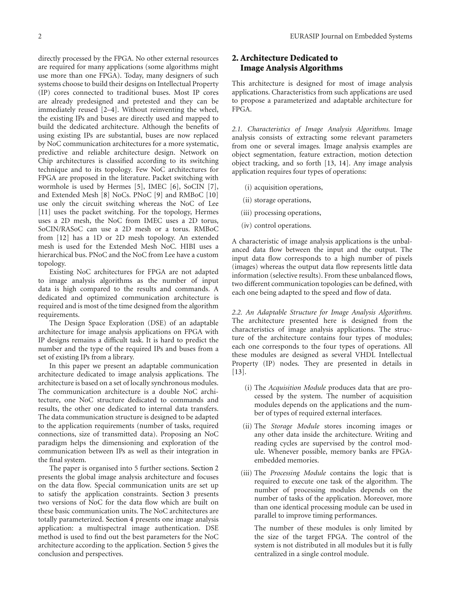directly processed by the FPGA. No other external resources are required for many applications (some algorithms might use more than one FPGA). Today, many designers of such systems choose to build their designs on Intellectual Property (IP) cores connected to traditional buses. Most IP cores are already predesigned and pretested and they can be immediately reused [2–4]. Without reinventing the wheel, the existing IPs and buses are directly used and mapped to build the dedicated architecture. Although the benefits of using existing IPs are substantial, buses are now replaced by NoC communication architectures for a more systematic, predictive and reliable architecture design. Network on Chip architectures is classified according to its switching technique and to its topology. Few NoC architectures for FPGA are proposed in the literature. Packet switching with wormhole is used by Hermes [5], IMEC [6], SoCIN [7], and Extended Mesh [8] NoCs. PNoC [9] and RMBoC [10] use only the circuit switching whereas the NoC of Lee [11] uses the packet switching. For the topology, Hermes uses a 2D mesh, the NoC from IMEC uses a 2D torus, SoCIN/RASoC can use a 2D mesh or a torus. RMBoC from [12] has a 1D or 2D mesh topology. An extended mesh is used for the Extended Mesh NoC. HIBI uses a hierarchical bus. PNoC and the NoC from Lee have a custom topology.

Existing NoC architectures for FPGA are not adapted to image analysis algorithms as the number of input data is high compared to the results and commands. A dedicated and optimized communication architecture is required and is most of the time designed from the algorithm requirements.

The Design Space Exploration (DSE) of an adaptable architecture for image analysis applications on FPGA with IP designs remains a difficult task. It is hard to predict the number and the type of the required IPs and buses from a set of existing IPs from a library.

In this paper we present an adaptable communication architecture dedicated to image analysis applications. The architecture is based on a set of locally synchronous modules. The communication architecture is a double NoC architecture, one NoC structure dedicated to commands and results, the other one dedicated to internal data transfers. The data communication structure is designed to be adapted to the application requirements (number of tasks, required connections, size of transmitted data). Proposing an NoC paradigm helps the dimensioning and exploration of the communication between IPs as well as their integration in the final system.

The paper is organised into 5 further sections. Section 2 presents the global image analysis architecture and focuses on the data flow. Special communication units are set up to satisfy the application constraints. Section 3 presents two versions of NoC for the data flow which are built on these basic communication units. The NoC architectures are totally parameterized. Section 4 presents one image analysis application: a multispectral image authentication. DSE method is used to find out the best parameters for the NoC architecture according to the application. Section 5 gives the conclusion and perspectives.

## **2. Architecture Dedicated to Image Analysis Algorithms**

This architecture is designed for most of image analysis applications. Characteristics from such applications are used to propose a parameterized and adaptable architecture for FPGA.

*2.1. Characteristics of Image Analysis Algorithms.* Image analysis consists of extracting some relevant parameters from one or several images. Image analysis examples are object segmentation, feature extraction, motion detection object tracking, and so forth [13, 14]. Any image analysis application requires four types of operations:

- (i) acquisition operations,
- (ii) storage operations,
- (iii) processing operations,
- (iv) control operations.

A characteristic of image analysis applications is the unbalanced data flow between the input and the output. The input data flow corresponds to a high number of pixels (images) whereas the output data flow represents little data information (selective results). From these unbalanced flows, two different communication topologies can be defined, with each one being adapted to the speed and flow of data.

*2.2. An Adaptable Structure for Image Analysis Algorithms.* The architecture presented here is designed from the characteristics of image analysis applications. The structure of the architecture contains four types of modules; each one corresponds to the four types of operations. All these modules are designed as several VHDL Intellectual Property (IP) nodes. They are presented in details in [13].

- (i) The *Acquisition Module* produces data that are processed by the system. The number of acquisition modules depends on the applications and the number of types of required external interfaces.
- (ii) The *Storage Module* stores incoming images or any other data inside the architecture. Writing and reading cycles are supervised by the control module. Whenever possible, memory banks are FPGAembedded memories.
- (iii) The *Processing Module* contains the logic that is required to execute one task of the algorithm. The number of processing modules depends on the number of tasks of the application. Moreover, more than one identical processing module can be used in parallel to improve timing performances.

The number of these modules is only limited by the size of the target FPGA. The control of the system is not distributed in all modules but it is fully centralized in a single control module.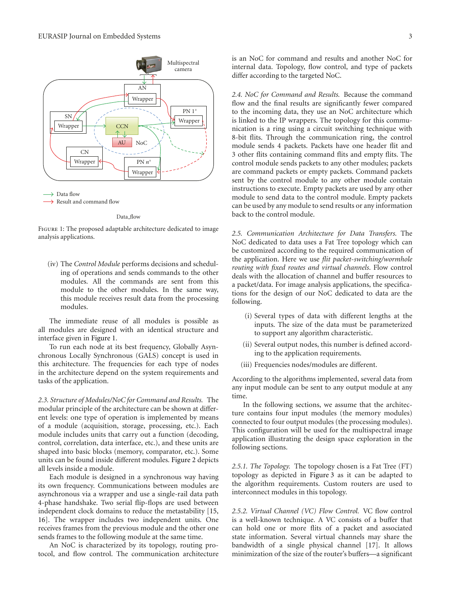

#### Data flow

FIGURE 1: The proposed adaptable architecture dedicated to image analysis applications.

(iv) The *Control Module* performs decisions and scheduling of operations and sends commands to the other modules. All the commands are sent from this module to the other modules. In the same way, this module receives result data from the processing modules.

The immediate reuse of all modules is possible as all modules are designed with an identical structure and interface given in Figure 1.

To run each node at its best frequency, Globally Asynchronous Locally Synchronous (GALS) concept is used in this architecture. The frequencies for each type of nodes in the architecture depend on the system requirements and tasks of the application.

*2.3. Structure of Modules/NoC for Command and Results.* The modular principle of the architecture can be shown at different levels: one type of operation is implemented by means of a module (acquisition, storage, processing, etc.). Each module includes units that carry out a function (decoding, control, correlation, data interface, etc.), and these units are shaped into basic blocks (memory, comparator, etc.). Some units can be found inside different modules. Figure 2 depicts all levels inside a module.

Each module is designed in a synchronous way having its own frequency. Communications between modules are asynchronous via a wrapper and use a single-rail data path 4-phase handshake. Two serial flip-flops are used between independent clock domains to reduce the metastability [15, 16]. The wrapper includes two independent units. One receives frames from the previous module and the other one sends frames to the following module at the same time.

An NoC is characterized by its topology, routing protocol, and flow control. The communication architecture is an NoC for command and results and another NoC for internal data. Topology, flow control, and type of packets differ according to the targeted NoC.

*2.4. NoC for Command and Results.* Because the command flow and the final results are significantly fewer compared to the incoming data, they use an NoC architecture which is linked to the IP wrappers. The topology for this communication is a ring using a circuit switching technique with 8-bit flits. Through the communication ring, the control module sends 4 packets. Packets have one header flit and 3 other flits containing command flits and empty flits. The control module sends packets to any other modules; packets are command packets or empty packets. Command packets sent by the control module to any other module contain instructions to execute. Empty packets are used by any other module to send data to the control module. Empty packets can be used by any module to send results or any information back to the control module.

*2.5. Communication Architecture for Data Transfers.* The NoC dedicated to data uses a Fat Tree topology which can be customized according to the required communication of the application. Here we use *flit packet-switching/wormhole routing with fixed routes and virtual channels*. Flow control deals with the allocation of channel and buffer resources to a packet/data. For image analysis applications, the specifications for the design of our NoC dedicated to data are the following.

- (i) Several types of data with different lengths at the inputs. The size of the data must be parameterized to support any algorithm characteristic.
- (ii) Several output nodes, this number is defined according to the application requirements.
- (iii) Frequencies nodes/modules are different.

According to the algorithms implemented, several data from any input module can be sent to any output module at any time.

In the following sections, we assume that the architecture contains four input modules (the memory modules) connected to four output modules (the processing modules). This configuration will be used for the multispectral image application illustrating the design space exploration in the following sections.

*2.5.1. The Topology.* The topology chosen is a Fat Tree (FT) topology as depicted in Figure 3 as it can be adapted to the algorithm requirements. Custom routers are used to interconnect modules in this topology.

*2.5.2. Virtual Channel (VC) Flow Control.* VC flow control is a well-known technique. A VC consists of a buffer that can hold one or more flits of a packet and associated state information. Several virtual channels may share the bandwidth of a single physical channel [17]. It allows minimization of the size of the router's buffers—a significant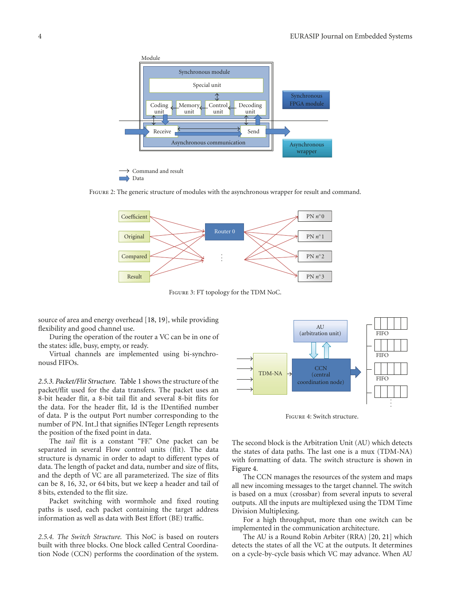

Data

FIGURE 2: The generic structure of modules with the asynchronous wrapper for result and command.



Figure 3: FT topology for the TDM NoC.

source of area and energy overhead [18, 19], while providing flexibility and good channel use.

During the operation of the router a VC can be in one of the states: idle, busy, empty, or ready.

Virtual channels are implemented using bi-synchronousd FIFOs.

*2.5.3. Packet/Flit Structure.* Table 1 shows the structure of the packet/flit used for the data transfers. The packet uses an 8-bit header flit, a 8-bit tail flit and several 8-bit flits for the data. For the header flit, Id is the IDentified number of data. P is the output Port number corresponding to the number of PN. Int<sub>1</sub> that signifies INTeger Length represents the position of the fixed point in data.

The *tail* flit is a constant "FF." One packet can be separated in several Flow control units (flit). The data structure is dynamic in order to adapt to different types of data. The length of packet and data, number and size of flits, and the depth of VC are all parameterized. The size of flits can be 8, 16, 32, or 64 bits, but we keep a header and tail of 8 bits, extended to the flit size.

Packet switching with wormhole and fixed routing paths is used, each packet containing the target address information as well as data with Best Effort (BE) traffic.

*2.5.4. The Switch Structure.* This NoC is based on routers built with three blocks. One block called Central Coordination Node (CCN) performs the coordination of the system.



Figure 4: Switch structure.

The second block is the Arbitration Unit (AU) which detects the states of data paths. The last one is a mux (TDM-NA) with formatting of data. The switch structure is shown in Figure 4.

The CCN manages the resources of the system and maps all new incoming messages to the target channel. The switch is based on a mux (crossbar) from several inputs to several outputs. All the inputs are multiplexed using the TDM Time Division Multiplexing.

For a high throughput, more than one switch can be implemented in the communication architecture.

The AU is a Round Robin Arbiter (RRA) [20, 21] which detects the states of all the VC at the outputs. It determines on a cycle-by-cycle basis which VC may advance. When AU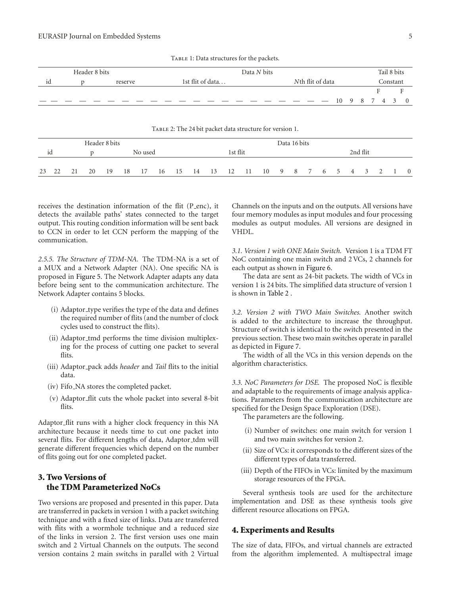TABLE 1: Data structures for the packets.

|    | Header 8 bits |         | Data N bits      |                  | Tail 8 bits |  |  |  |
|----|---------------|---------|------------------|------------------|-------------|--|--|--|
| 1d |               | reserve | 1st flit of data | Nth flit of data | Constant    |  |  |  |
|    |               |         |                  |                  | Е           |  |  |  |
|    |               |         |                  | $-10987430$      |             |  |  |  |

Table 2: The 24 bit packet data structure for version 1.

| Header 8 bits |    |    |    |    |    |                                           |  |  |  |          |  | Data 16 bits |  |  |          |  |                |
|---------------|----|----|----|----|----|-------------------------------------------|--|--|--|----------|--|--------------|--|--|----------|--|----------------|
|               | 1d |    |    |    |    | No used                                   |  |  |  | 1st flit |  |              |  |  | 2nd flit |  |                |
|               |    |    |    |    |    |                                           |  |  |  |          |  |              |  |  |          |  |                |
| 23            | 22 | 21 | 20 | 19 | 18 | 17 16 15 14 13 12 11 10 9 8 7 6 5 4 3 2 1 |  |  |  |          |  |              |  |  |          |  | $\overline{0}$ |

receives the destination information of the flit (P\_enc), it detects the available paths' states connected to the target output. This routing condition information will be sent back to CCN in order to let CCN perform the mapping of the communication.

*2.5.5. The Structure of TDM-NA.* The TDM-NA is a set of a MUX and a Network Adapter (NA). One specific NA is proposed in Figure 5. The Network Adapter adapts any data before being sent to the communication architecture. The Network Adapter contains 5 blocks.

- (i) Adaptor type verifies the type of the data and defines the required number of flits (and the number of clock cycles used to construct the flits).
- (ii) Adaptor\_tmd performs the time division multiplexing for the process of cutting one packet to several flits.
- (iii) Adaptor pack adds *header* and *Tail* flits to the initial data.
- (iv) Fifo NA stores the completed packet.
- (v) Adaptor flit cuts the whole packet into several 8-bit flits.

Adaptor\_flit runs with a higher clock frequency in this NA architecture because it needs time to cut one packet into several flits. For different lengths of data, Adaptor\_tdm will generate different frequencies which depend on the number of flits going out for one completed packet.

## **3. Two Versions of the TDM Parameterized NoCs**

Two versions are proposed and presented in this paper. Data are transferred in packets in version 1 with a packet switching technique and with a fixed size of links. Data are transferred with flits with a wormhole technique and a reduced size of the links in version 2. The first version uses one main switch and 2 Virtual Channels on the outputs. The second version contains 2 main switchs in parallel with 2 Virtual Channels on the inputs and on the outputs. All versions have four memory modules as input modules and four processing modules as output modules. All versions are designed in VHDL.

*3.1. Version 1 with ONE Main Switch.* Version 1 is a TDM FT NoC containing one main switch and 2 VCs, 2 channels for each output as shown in Figure 6.

The data are sent as 24-bit packets. The width of VCs in version 1 is 24 bits. The simplified data structure of version 1 is shown in Table 2 .

*3.2. Version 2 with TWO Main Switches.* Another switch is added to the architecture to increase the throughput. Structure of switch is identical to the switch presented in the previous section. These two main switches operate in parallel as depicted in Figure 7.

The width of all the VCs in this version depends on the algorithm characteristics.

*3.3. NoC Parameters for DSE.* The proposed NoC is flexible and adaptable to the requirements of image analysis applications. Parameters from the communication architecture are specified for the Design Space Exploration (DSE).

The parameters are the following.

- (i) Number of switches: one main switch for version 1 and two main switches for version 2.
- (ii) Size of VCs: it corresponds to the different sizes of the different types of data transferred.
- (iii) Depth of the FIFOs in VCs: limited by the maximum storage resources of the FPGA.

Several synthesis tools are used for the architecture implementation and DSE as these synthesis tools give different resource allocations on FPGA.

### **4. Experiments and Results**

The size of data, FIFOs, and virtual channels are extracted from the algorithm implemented. A multispectral image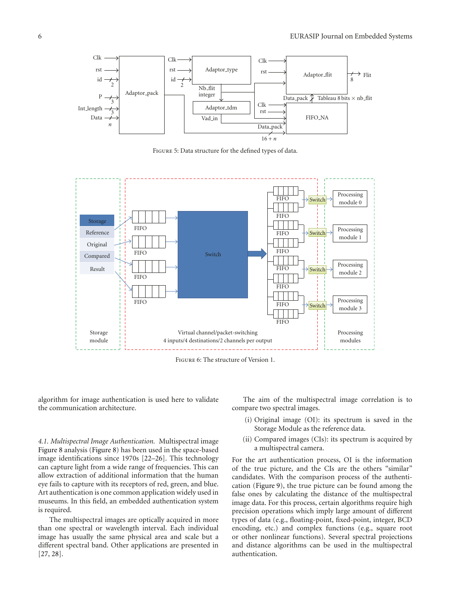

Figure 5: Data structure for the defined types of data.



Figure 6: The structure of Version 1.

algorithm for image authentication is used here to validate the communication architecture.

*4.1. Multispectral Image Authentication.* Multispectral image Figure 8 analysis (Figure 8) has been used in the space-based image identifications since 1970s [22–26]. This technology can capture light from a wide range of frequencies. This can allow extraction of additional information that the human eye fails to capture with its receptors of red, green, and blue. Art authentication is one common application widely used in museums. In this field, an embedded authentication system is required.

The multispectral images are optically acquired in more than one spectral or wavelength interval. Each individual image has usually the same physical area and scale but a different spectral band. Other applications are presented in [27, 28].

The aim of the multispectral image correlation is to compare two spectral images.

- (i) Original image (OI): its spectrum is saved in the Storage Module as the reference data.
- (ii) Compared images (CIs): its spectrum is acquired by a multispectral camera.

For the art authentication process, OI is the information of the true picture, and the CIs are the others "similar" candidates. With the comparison process of the authentication (Figure 9), the true picture can be found among the false ones by calculating the distance of the multispectral image data. For this process, certain algorithms require high precision operations which imply large amount of different types of data (e.g., floating-point, fixed-point, integer, BCD encoding, etc.) and complex functions (e.g., square root or other nonlinear functions). Several spectral projections and distance algorithms can be used in the multispectral authentication.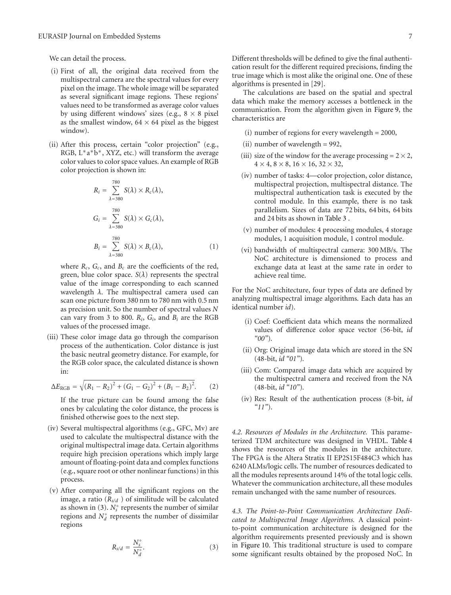We can detail the process.

- (i) First of all, the original data received from the multispectral camera are the spectral values for every pixel on the image. The whole image will be separated as several significant image regions. These regions' values need to be transformed as average color values by using different windows' sizes (e.g.,  $8 \times 8$  pixel as the smallest window,  $64 \times 64$  pixel as the biggest window).
- (ii) After this process, certain "color projection" (e.g., RGB, L∗a∗b∗, XYZ, etc.) will transform the average color values to color space values. An example of RGB color projection is shown in:

$$
R_{i} = \sum_{\lambda=380}^{780} S(\lambda) \times R_{c}(\lambda),
$$
  
\n
$$
G_{i} = \sum_{\lambda=380}^{780} S(\lambda) \times G_{c}(\lambda),
$$
  
\n
$$
B_{i} = \sum_{\lambda=380}^{780} S(\lambda) \times B_{c}(\lambda),
$$
\n(1)

where  $R_c$ ,  $G_c$ , and  $B_c$  are the coefficients of the red, green, blue color space.  $S(\lambda)$  represents the spectral value of the image corresponding to each scanned wavelength *λ*. The multispectral camera used can scan one picture from 380 nm to 780 nm with 0.5 nm as precision unit. So the number of spectral values *N* can vary from 3 to 800. *Ri*, *Gi*, and *Bi* are the RGB values of the processed image.

(iii) These color image data go through the comparison process of the authentication. Color distance is just the basic neutral geometry distance. For example, for the RGB color space, the calculated distance is shown in:

$$
\Delta E_{\text{RGB}} = \sqrt{(R_1 - R_2)^2 + (G_1 - G_2)^2 + (B_1 - B_2)^2}.
$$
 (2)

If the true picture can be found among the false ones by calculating the color distance, the process is finished otherwise goes to the next step.

- (iv) Several multispectral algorithms (e.g., GFC, Mv) are used to calculate the multispectral distance with the original multispectral image data. Certain algorithms require high precision operations which imply large amount of floating-point data and complex functions (e.g., square root or other nonlinear functions) in this process.
- (v) After comparing all the significant regions on the image, a ratio (*Rs/d* ) of similitude will be calculated as shown in  $(3)$ .  $N_s^{\circ}$  represents the number of similar regions and  $N_d^{\circ}$  represents the number of dissimilar regions

$$
R_{s/d} = \frac{N_s^{\circ}}{N_d^{\circ}}.\tag{3}
$$

Different thresholds will be defined to give the final authentication result for the different required precisions, finding the true image which is most alike the original one. One of these algorithms is presented in [29].

The calculations are based on the spatial and spectral data which make the memory accesses a bottleneck in the communication. From the algorithm given in Figure 9, the characteristics are

- (i) number of regions for every wavelength = 2000,
- (ii) number of wavelength = 992,
- (iii) size of the window for the average processing  $= 2 \times 2$ ,  $4 \times 4, 8 \times 8, 16 \times 16, 32 \times 32,$
- (iv) number of tasks: 4—color projection, color distance, multispectral projection, multispectral distance. The multispectral authentication task is executed by the control module. In this example, there is no task parallelism. Sizes of data are 72 bits, 64 bits, 64 bits and 24 bits as shown in Table 3 .
- (v) number of modules: 4 processing modules, 4 storage modules, 1 acquisition module, 1 control module.
- (vi) bandwidth of multispectral camera: 300 MB/s. The NoC architecture is dimensioned to process and exchange data at least at the same rate in order to achieve real time.

For the NoC architecture, four types of data are defined by analyzing multispectral image algorithms. Each data has an identical number *id*).

- (i) Coef: Coefficient data which means the normalized values of difference color space vector (56-bit, *id "00"*)*.*
- (ii) Org: Original image data which are stored in the SN (48-bit, *id "01"*)*.*
- (iii) Com: Compared image data which are acquired by the multispectral camera and received from the NA (48-bit, *id "10"*)*.*
- (iv) Res: Result of the authentication process (8-bit, *id "11"*).

*4.2. Resources of Modules in the Architecture.* This parameterized TDM architecture was designed in VHDL. Table 4 shows the resources of the modules in the architecture. The FPGA is the Altera Stratix II EP2S15F484C3 which has 6240 ALMs/logic cells. The number of resources dedicated to all the modules represents around 14% of the total logic cells. Whatever the communication architecture, all these modules remain unchanged with the same number of resources.

*4.3. The Point-to-Point Communication Architecture Dedicated to Multispectral Image Algorithms.* A classical pointto-point communication architecture is designed for the algorithm requirements presented previously and is shown in Figure 10. This traditional structure is used to compare some significant results obtained by the proposed NoC. In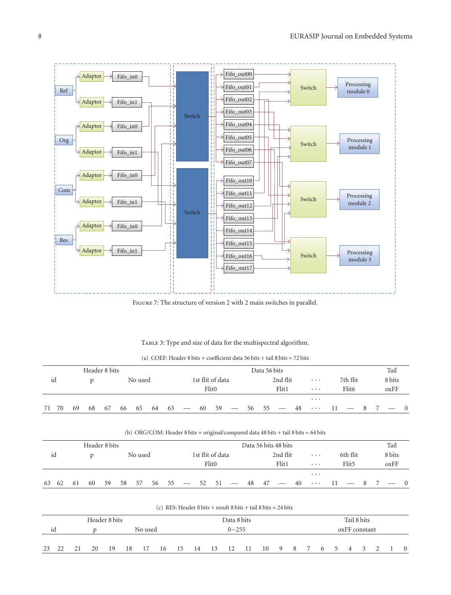

Figure 7: The structure of version 2 with 2 main switches in parallel.

## TABLE 3: Type and size of data for the multispectral algorithm.

| Header 8 bits |    |     |    |    |    |                        |  |  | Data 56 bits |                   |                                       |  |  |          |  |                      |  |                   | Tail |        |  |  |  |
|---------------|----|-----|----|----|----|------------------------|--|--|--------------|-------------------|---------------------------------------|--|--|----------|--|----------------------|--|-------------------|------|--------|--|--|--|
|               | id |     |    |    |    | No used                |  |  |              | 1st flit of data  |                                       |  |  | 2nd flit |  | $\sim$ $\sim$ $\sim$ |  | 7th flit          |      | 8 bits |  |  |  |
|               |    |     |    |    |    |                        |  |  |              | Flit <sub>0</sub> |                                       |  |  | Flit1    |  | $\sim$ $\sim$ $\sim$ |  | Flit <sub>6</sub> |      | oxFF   |  |  |  |
|               |    |     |    |    |    |                        |  |  |              |                   |                                       |  |  |          |  | $\cdots$             |  |                   |      |        |  |  |  |
| 71            | 70 | -69 | 68 | 67 | 66 | $\therefore$ 65 $\neq$ |  |  |              |                   | $64$ $63$ $ 60$ $59$ $ 56$ $55$ $ 48$ |  |  |          |  | $\cdots$ 11 $-$ 8 7  |  |                   |      | $-$ 0  |  |  |  |

|  | (b) ORG/COM: Header 8 bits + original/compared data $48$ bits + tail 8 bits = 64 bits |  |  |  |  |
|--|---------------------------------------------------------------------------------------|--|--|--|--|
|--|---------------------------------------------------------------------------------------|--|--|--|--|

| Header 8 bits |    |     |    |    |    |         |  |  | Data 56 bits 48 bits |  |                   |                                                                                    |  |  |          |  |                           | Tail              |  |        |  |
|---------------|----|-----|----|----|----|---------|--|--|----------------------|--|-------------------|------------------------------------------------------------------------------------|--|--|----------|--|---------------------------|-------------------|--|--------|--|
| id            |    |     |    |    |    | No used |  |  |                      |  | 1st flit of data  |                                                                                    |  |  | 2nd flit |  | $\sim$ $\sim$ $\sim$      | 6th flit          |  | 8 bits |  |
|               |    |     |    |    |    |         |  |  |                      |  | Flit <sub>0</sub> |                                                                                    |  |  | Flit1    |  | $\sim$ $\sim$ $\sim$      | Flit <sub>5</sub> |  | oxFF   |  |
|               |    |     |    |    |    |         |  |  |                      |  |                   |                                                                                    |  |  |          |  | .                         |                   |  |        |  |
| 63            | 62 | -61 | 60 | 59 | 58 | 57      |  |  |                      |  |                   | $56 \quad 55 \quad - \quad 52 \quad 51 \quad - \quad 48 \quad 47 \quad - \quad 40$ |  |  |          |  | $\cdots$ 11 $-$ 8 7 $-$ 0 |                   |  |        |  |

|    | Header 8 bits |    |    |      |      |       |  |                 |  | Data 8 bits |  |                                  |  |  |               |  | Tail 8 bits |  |  |  |  |  |  |  |  |
|----|---------------|----|----|------|------|-------|--|-----------------|--|-------------|--|----------------------------------|--|--|---------------|--|-------------|--|--|--|--|--|--|--|--|
|    | No used<br>1d |    |    |      |      |       |  | $0\!\sim\!255$  |  |             |  |                                  |  |  | oxFF constant |  |             |  |  |  |  |  |  |  |  |
| 23 |               | 21 | 20 | - 19 | - 18 | 17 16 |  | $\frac{15}{15}$ |  |             |  | 14 13 12 11 10 9 8 7 6 5 4 3 2 1 |  |  |               |  |             |  |  |  |  |  |  |  |  |

(c) RES: Header  $8 \text{ bits} + \text{ result } 8 \text{ bits} + \text{ tail } 8 \text{ bits} = 24 \text{ bits}$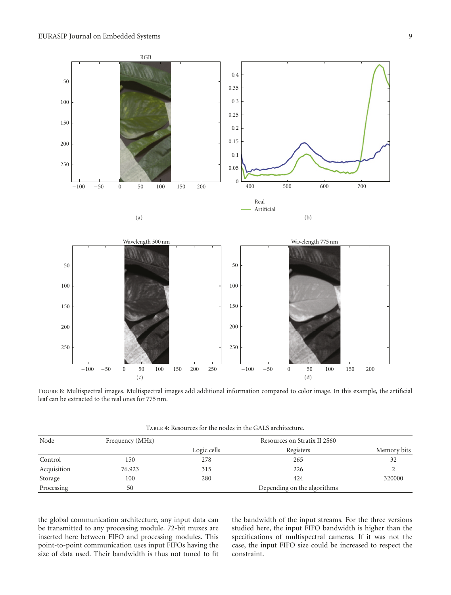

Figure 8: Multispectral images. Multispectral images add additional information compared to color image. In this example, the artificial leaf can be extracted to the real ones for 775 nm.

Table 4: Resources for the nodes in the GALS architecture.

| Node        | Frequency (MHz) |             |                             |             |
|-------------|-----------------|-------------|-----------------------------|-------------|
|             |                 | Logic cells | Registers                   | Memory bits |
| Control     | 150             | 278         | 265                         | 32          |
| Acquisition | 76.923          | 315         | 226                         |             |
| Storage     | 100             | 280         | 424                         | 320000      |
| Processing  | 50              |             | Depending on the algorithms |             |

the global communication architecture, any input data can be transmitted to any processing module. 72-bit muxes are inserted here between FIFO and processing modules. This point-to-point communication uses input FIFOs having the size of data used. Their bandwidth is thus not tuned to fit the bandwidth of the input streams. For the three versions studied here, the input FIFO bandwidth is higher than the specifications of multispectral cameras. If it was not the case, the input FIFO size could be increased to respect the constraint.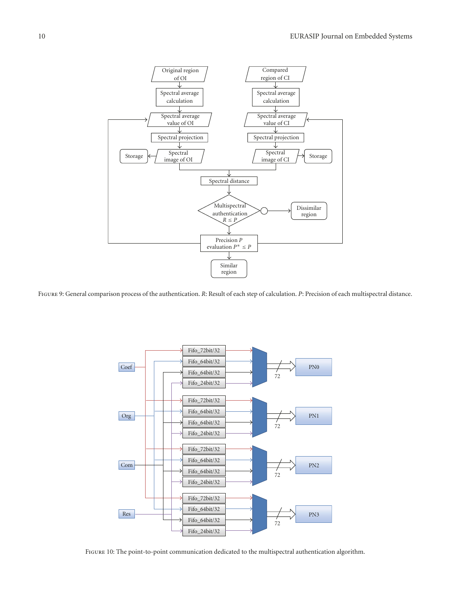

Figure 9: General comparison process of the authentication. *R*: Result of each step of calculation. *P*: Precision of each multispectral distance.



FIGURE 10: The point-to-point communication dedicated to the multispectral authentication algorithm.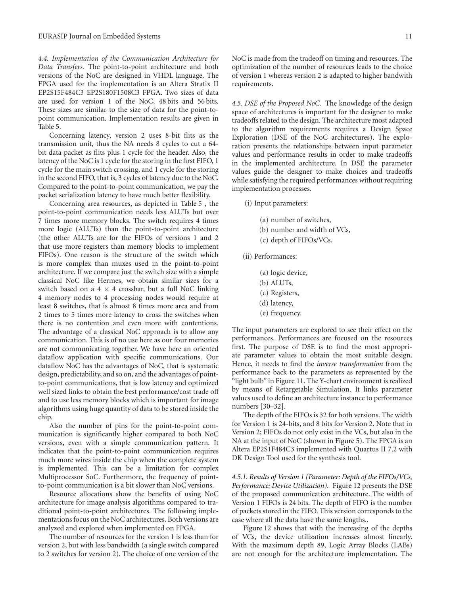*4.4. Implementation of the Communication Architecture for Data Transfers.* The point-to-point architecture and both versions of the NoC are designed in VHDL language. The FPGA used for the implementation is an Altera Stratix II EP2S15F484C3 EP2S180F1508C3 FPGA. Two sizes of data are used for version 1 of the NoC, 48 bits and 56 bits. These sizes are similar to the size of data for the point-topoint communication. Implementation results are given in Table 5.

Concerning latency, version 2 uses 8-bit flits as the transmission unit, thus the NA needs 8 cycles to cut a 64 bit data packet as flits plus 1 cycle for the header. Also, the latency of the NoC is 1 cycle for the storing in the first FIFO, 1 cycle for the main switch crossing, and 1 cycle for the storing in the second FIFO, that is, 3 cycles of latency due to the NoC. Compared to the point-to-point communication, we pay the packet serialization latency to have much better flexibility.

Concerning area resources, as depicted in Table 5 , the point-to-point communication needs less ALUTs but over 7 times more memory blocks. The switch requires 4 times more logic (ALUTs) than the point-to-point architecture (the other ALUTs are for the FIFOs of versions 1 and 2 that use more registers than memory blocks to implement FIFOs). One reason is the structure of the switch which is more complex than muxes used in the point-to-point architecture. If we compare just the switch size with a simple classical NoC like Hermes, we obtain similar sizes for a switch based on a  $4 \times 4$  crossbar, but a full NoC linking 4 memory nodes to 4 processing nodes would require at least 8 switches, that is almost 8 times more area and from 2 times to 5 times more latency to cross the switches when there is no contention and even more with contentions. The advantage of a classical NoC approach is to allow any communication. This is of no use here as our four memories are not communicating together. We have here an oriented dataflow application with specific communications. Our dataflow NoC has the advantages of NoC, that is systematic design, predictability, and so on, and the advantages of pointto-point communications, that is low latency and optimized well sized links to obtain the best performance/cost trade off and to use less memory blocks which is important for image algorithms using huge quantity of data to be stored inside the chip.

Also the number of pins for the point-to-point communication is significantly higher compared to both NoC versions, even with a simple communication pattern. It indicates that the point-to-point communication requires much more wires inside the chip when the complete system is implemented. This can be a limitation for complex Multiprocessor SoC. Furthermore, the frequency of pointto-point communication is a bit slower than NoC versions.

Resource allocations show the benefits of using NoC architecture for image analysis algorithms compared to traditional point-to-point architectures. The following implementations focus on the NoC architectures. Both versions are analyzed and explored when implemented on FPGA.

The number of resources for the version 1 is less than for version 2, but with less bandwidth (a single switch compared to 2 switches for version 2). The choice of one version of the

NoC is made from the tradeoff on timing and resources. The optimization of the number of resources leads to the choice of version 1 whereas version 2 is adapted to higher bandwith requirements.

*4.5. DSE of the Proposed NoC.* The knowledge of the design space of architectures is important for the designer to make tradeoffs related to the design. The architecture most adapted to the algorithm requirements requires a Design Space Exploration (DSE of the NoC architectures). The exploration presents the relationships between input parameter values and performance results in order to make tradeoffs in the implemented architecture. In DSE the parameter values guide the designer to make choices and tradeoffs while satisfying the required performances without requiring implementation processes.

- (i) Input parameters:
	- (a) number of switches,
	- (b) number and width of VCs,
	- (c) depth of FIFOs/VCs.
- (ii) Performances:
	- (a) logic device,
	- (b) ALUTs,
	- (c) Registers,
	- (d) latency,
	- (e) frequency.

The input parameters are explored to see their effect on the performances. Performances are focused on the resources first. The purpose of DSE is to find the most appropriate parameter values to obtain the most suitable design. Hence, it needs to find the *inverse transformation* from the performance back to the parameters as represented by the "light bulb" in Figure 11. The Y-chart environment is realized by means of Retargetable Simulation. It links parameter values used to define an architecture instance to performance numbers [30–32].

The depth of the FIFOs is 32 for both versions. The width for Version 1 is 24-bits, and 8 bits for Version 2. Note that in Version 2; FIFOs do not only exist in the VCs, but also in the NA at the input of NoC (shown in Figure 5). The FPGA is an Altera EP2S1F484C3 implemented with Quartus II 7.2 with DK Design Tool used for the synthesis tool.

*4.5.1. Results of Version 1 (Parameter: Depth of the FIFOs/VCs, Performance: Device Utilization).* Figure 12 presents the DSE of the proposed communication architecture. The width of Version 1 FIFOs is 24 bits. The depth of FIFO is the number of packets stored in the FIFO. This version corresponds to the case where all the data have the same lengths..

Figure 12 shows that with the increasing of the depths of VCs, the device utilization increases almost linearly. With the maximum depth 89, Logic Array Blocks (LABs) are not enough for the architecture implementation. The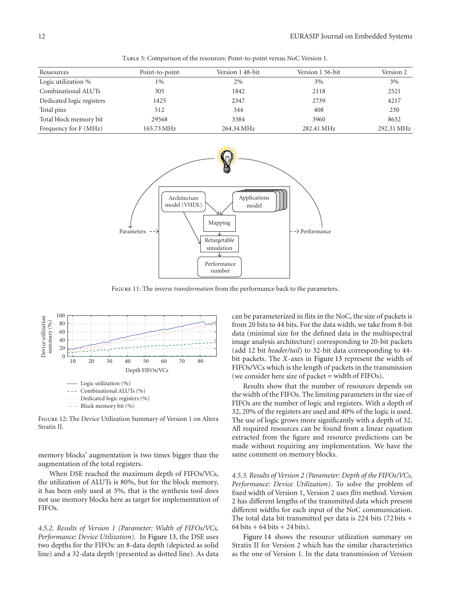Table 5: Comparison of the resources: Point-to-point versus NoC Version 1.

| Ressources                | Point-to-point | Version 148-bit | Version 1 56-bit | Version 2  |
|---------------------------|----------------|-----------------|------------------|------------|
| Logic utilization %       | 1%             | 2%              | 3%               | 3%         |
| Combinational ALUTs       | 305            | 1842            | 2118             | 2521       |
| Dedicated logic registers | 1425           | 2347            | 2739             | 4217       |
| Total pins                | 512            | 344             | 408              | 230        |
| Total block memory bit    | 29568          | 3384            | 3960             | 8652       |
| Frequency for F (MHz)     | 165.73 MHz     | 264.34 MHz      | 282.41 MHz       | 292.31 MHz |



Figure 11: The *inverse transformation* from the performance back to the parameters.



Figure 12: The Device Utilization Summary of Version 1 on Altera Stratix II.

memory blocks' augmentation is two times bigger than the augmentation of the total registers.

When DSE reached the maximum depth of FIFOs/VCs, the utilization of ALUTs is 80%, but for the block memory, it has been only used at 5%, that is the synthesis tool does not use memory blocks here as target for implementation of FIFOs.

*4.5.2. Results of Version 1 (Parameter: Width of FIFOs/VCs, Performance: Device Utilization).* In Figure 13, the DSE uses two depths for the FIFOs: an 8-data depth (depicted as solid line) and a 32-data depth (presented as dotted line). As data

can be parameterized in flits in the NoC, the size of packets is from 20 bits to 44 bits. For the data width, we take from 8-bit data (minimal size for the defined data in the multispectral image analysis architecture) corresponding to 20-bit packets (add 12 bit *header/tail*) to 32-bit data corresponding to 44 bit packets. The *X*-axes in Figure 13 represent the width of FIFOs/VCs which is the length of packets in the transmission (we consider here size of packet = width of FIFOs).

Results show that the number of resources depends on the width of the FIFOs. The limiting parameters in the size of FIFOs are the number of logic and registers. With a depth of 32, 20% of the registers are used and 40% of the logic is used. The use of logic grows more significantly with a depth of 32. All required resources can be found from a linear equation extracted from the figure and resource predictions can be made without requiring any implementation. We have the same comment on memory blocks.

*4.5.3. Results of Version 2 (Parameter: Depth of the FIFOs/VCs, Performance: Device Utilization).* To solve the problem of fixed width of Version 1, Version 2 uses *flits* method. Version 2 has different lengths of the transmitted data which present different widths for each input of the NoC communication. The total data bit transmitted per data is 224 bits  $(72 \text{ bits } +$  $64 \text{ bits} + 64 \text{ bits} + 24 \text{ bits}.$ 

Figure 14 shows the resource utilization summary on Stratix II for Version 2 which has the similar characteristics as the one of Version 1. In the data transmission of Version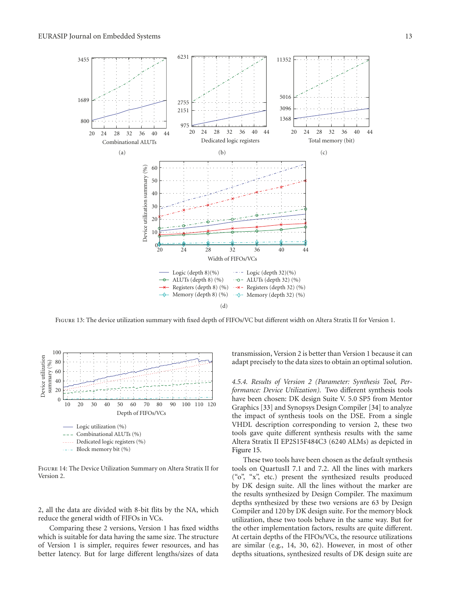

Figure 13: The device utilization summary with fixed depth of FIFOs/VC but different width on Altera Stratix II for Version 1.



Figure 14: The Device Utilization Summary on Altera Stratix II for Version 2.

2, all the data are divided with 8-bit flits by the NA, which reduce the general width of FIFOs in VCs.

Comparing these 2 versions, Version 1 has fixed widths which is suitable for data having the same size. The structure of Version 1 is simpler, requires fewer resources, and has better latency. But for large different lengths/sizes of data

transmission, Version 2 is better than Version 1 because it can adapt precisely to the data sizes to obtain an optimal solution.

*4.5.4. Results of Version 2 (Parameter: Synthesis Tool, Performance: Device Utilization).* Two different synthesis tools have been chosen: DK design Suite V. 5.0 SP5 from Mentor Graphics [33] and Synopsys Design Compiler [34] to analyze the impact of synthesis tools on the DSE. From a single VHDL description corresponding to version 2, these two tools gave quite different synthesis results with the same Altera Stratix II EP2S15F484C3 (6240 ALMs) as depicted in Figure 15.

These two tools have been chosen as the default synthesis tools on QuartusII 7.1 and 7.2. All the lines with markers ("o", "x", etc.) present the synthesized results produced by DK design suite. All the lines without the marker are the results synthesized by Design Compiler. The maximum depths synthesized by these two versions are 63 by Design Compiler and 120 by DK design suite. For the memory block utilization, these two tools behave in the same way. But for the other implementation factors, results are quite different. At certain depths of the FIFOs/VCs, the resource utilizations are similar (e.g., 14, 30, 62). However, in most of other depths situations, synthesized results of DK design suite are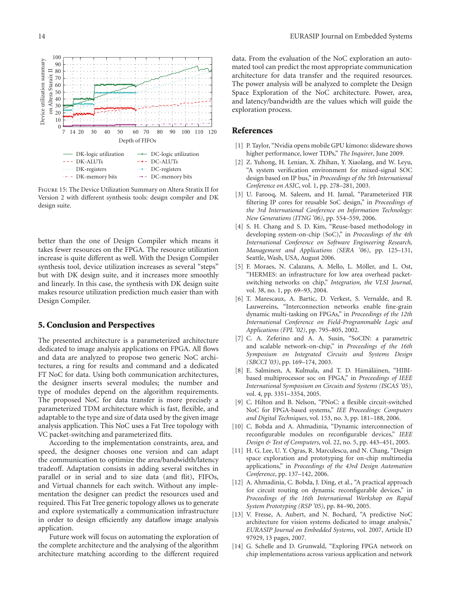

Figure 15: The Device Utilization Summary on Altera Stratix II for Version 2 with different synthesis tools: design compiler and DK design suite.

better than the one of Design Compiler which means it takes fewer resources on the FPGA. The resource utilization increase is quite different as well. With the Design Compiler synthesis tool, device utilization increases as several "steps" but with DK design suite, and it increases more smoothly and linearly. In this case, the synthesis with DK design suite makes resource utilization prediction much easier than with Design Compiler.

## **5. Conclusion and Perspectives**

The presented architecture is a parameterized architecture dedicated to image analysis applications on FPGA. All flows and data are analyzed to propose two generic NoC architectures, a ring for results and command and a dedicated FT NoC for data. Using both communication architectures, the designer inserts several modules; the number and type of modules depend on the algorithm requirements. The proposed NoC for data transfer is more precisely a parameterized TDM architecture which is fast, flexible, and adaptable to the type and size of data used by the given image analysis application. This NoC uses a Fat Tree topology with VC packet-switching and parameterized flits.

According to the implementation constraints, area, and speed, the designer chooses one version and can adapt the communication to optimize the area/bandwidth/latency tradeoff. Adaptation consists in adding several switches in parallel or in serial and to size data (and flit), FIFOs, and Virtual channels for each switch. Without any implementation the designer can predict the resources used and required. This Fat Tree generic topology allows us to generate and explore systematically a communication infrastructure in order to design efficiently any dataflow image analysis application.

Future work will focus on automating the exploration of the complete architecture and the analysing of the algorithm architecture matching according to the different required

data. From the evaluation of the NoC exploration an automated tool can predict the most appropriate communication architecture for data transfer and the required resources. The power analysis will be analyzed to complete the Design Space Exploration of the NoC architecture. Power, area, and latency/bandwidth are the values which will guide the exploration process.

#### **References**

- [1] P. Taylor, "Nvidia opens mobile GPU kimono: slideware shows higher performance, lower TDPs," *The Inquirer*, June 2009.
- [2] Z. Yuhong, H. Lenian, X. Zhihan, Y. Xiaolang, and W. Leyu, "A system verification environment for mixed-signal SOC design based on IP bus," in *Proceedings of the 5th International Conference on ASIC*, vol. 1, pp. 278–281, 2003.
- [3] U. Farooq, M. Saleem, and H. Jamal, "Parameterized FIR filtering IP cores for reusable SoC design," in *Proceedings of the 3rd International Conference on Information Technology: New Generations (ITNG '06)*, pp. 554–559, 2006.
- [4] S. H. Chang and S. D. Kim, "Reuse-based methodology in developing system-on-chip (SoC)," in *Proceedings of the 4th International Conference on Software Engineering Research, Management and Applications (SERA '06)*, pp. 125–131, Seattle, Wash, USA, August 2006.
- [5] F. Moraes, N. Calazans, A. Mello, L. Möller, and L. Ost, "HERMES: an infrastructure for low area overhead packetswitching networks on chip," *Integration, the VLSI Journal*, vol. 38, no. 1, pp. 69–93, 2004.
- [6] T. Marescaux, A. Bartic, D. Verkest, S. Vernalde, and R. Lauwereins, "Interconnection networks enable fine-grain dynamic multi-tasking on FPGAs," in *Proceedings of the 12th International Conference on Field-Programmable Logic and Applications (FPL '02)*, pp. 795–805, 2002.
- [7] C. A. Zeferino and A. A. Susin, "SoCIN: a parametric and scalable network-on-chip," in *Proceedings of the 16th Symposium on Integrated Circuits and Systems Design (SBCCI '03)*, pp. 169–174, 2003.
- [8] E. Salminen, A. Kulmala, and T. D. Hämäläinen, "HIBIbased multiprocessor soc on FPGA," in *Proceedings of IEEE International Symposium on Circuits and Systems (ISCAS '05)*, vol. 4, pp. 3351–3354, 2005.
- [9] C. Hilton and B. Nelson, "PNoC: a flexible circuit-switched NoC for FPGA-based systems," *IEE Proceedings: Computers and Digital Techniques*, vol. 153, no. 3, pp. 181–188, 2006.
- [10] C. Bobda and A. Ahmadinia, "Dynamic interconnection of reconfigurable modules on reconfigurable devices," *IEEE Design & Test of Computers*, vol. 22, no. 5, pp. 443–451, 2005.
- [11] H. G. Lee, U. Y. Ogras, R. Marculescu, and N. Chang, "Design space exploration and prototyping for on-chip multimedia applications," in *Proceedings of the 43rd Design Automation Conference*, pp. 137–142, 2006.
- [12] A. Ahmadinia, C. Bobda, J. Ding, et al., "A practical approach for circuit routing on dynamic reconfigurable devices," in *Proceedings of the 16th International Workshop on Rapid System Prototyping (RSP '05)*, pp. 84–90, 2005.
- [13] V. Fresse, A. Aubert, and N. Bochard, "A predictive NoC architecture for vision systems dedicated to image analysis," *EURASIP Journal on Embedded Systems*, vol. 2007, Article ID 97929, 13 pages, 2007.
- [14] G. Schelle and D. Grunwald, "Exploring FPGA network on chip implementations across various application and network